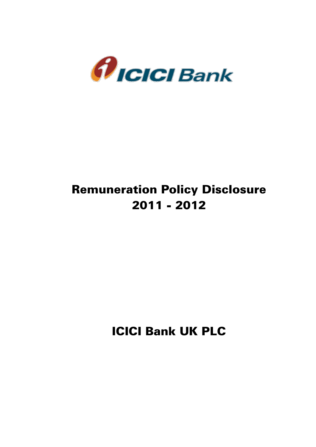

# Remuneration Policy Disclosure 2011 - 2012

ICICI Bank UK PLC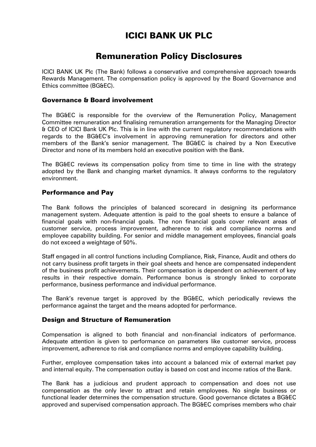## ICICI BANK UK PLC

### Remuneration Policy Disclosures

ICICI BANK UK Plc (The Bank) follows a conservative and comprehensive approach towards Rewards Management. The compensation policy is approved by the Board Governance and Ethics committee (BG&EC).

#### Governance & Board involvement

The BG&EC is responsible for the overview of the Remuneration Policy, Management Committee remuneration and finalising remuneration arrangements for the Managing Director & CEO of ICICI Bank UK Plc. This is in line with the current regulatory recommendations with regards to the BG&EC's involvement in approving remuneration for directors and other members of the Bank's senior management. The BG&EC is chaired by a Non Executive Director and none of its members hold an executive position with the Bank.

The BG&EC reviews its compensation policy from time to time in line with the strategy adopted by the Bank and changing market dynamics. It always conforms to the regulatory environment.

#### Performance and Pay

The Bank follows the principles of balanced scorecard in designing its performance management system. Adequate attention is paid to the goal sheets to ensure a balance of financial goals with non-financial goals. The non financial goals cover relevant areas of customer service, process improvement, adherence to risk and compliance norms and employee capability building. For senior and middle management employees, financial goals do not exceed a weightage of 50%.

Staff engaged in all control functions including Compliance, Risk, Finance, Audit and others do not carry business profit targets in their goal sheets and hence are compensated independent of the business profit achievements. Their compensation is dependent on achievement of key results in their respective domain. Performance bonus is strongly linked to corporate performance, business performance and individual performance.

The Bank's revenue target is approved by the BG&EC, which periodically reviews the performance against the target and the means adopted for performance.

#### Design and Structure of Remuneration

Compensation is aligned to both financial and non-financial indicators of performance. Adequate attention is given to performance on parameters like customer service, process improvement, adherence to risk and compliance norms and employee capability building.

Further, employee compensation takes into account a balanced mix of external market pay and internal equity. The compensation outlay is based on cost and income ratios of the Bank.

The Bank has a judicious and prudent approach to compensation and does not use compensation as the only lever to attract and retain employees. No single business or functional leader determines the compensation structure. Good governance dictates a BG&EC approved and supervised compensation approach. The BG&EC comprises members who chair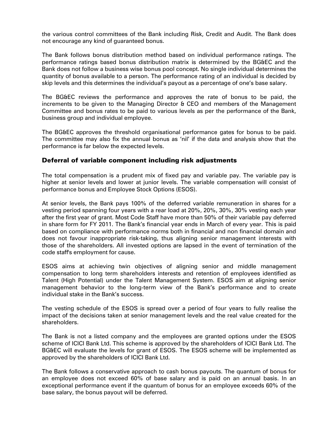the various control committees of the Bank including Risk, Credit and Audit. The Bank does not encourage any kind of guaranteed bonus.

The Bank follows bonus distribution method based on individual performance ratings. The performance ratings based bonus distribution matrix is determined by the BG&EC and the Bank does not follow a business wise bonus pool concept. No single individual determines the quantity of bonus available to a person. The performance rating of an individual is decided by skip levels and this determines the individual's payout as a percentage of one's base salary.

The BG&EC reviews the performance and approves the rate of bonus to be paid, the increments to be given to the Managing Director & CEO and members of the Management Committee and bonus rates to be paid to various levels as per the performance of the Bank, business group and individual employee.

The BG&EC approves the threshold organisational performance gates for bonus to be paid. The committee may also fix the annual bonus as 'nil' if the data and analysis show that the performance is far below the expected levels.

#### Deferral of variable component including risk adjustments

The total compensation is a prudent mix of fixed pay and variable pay. The variable pay is higher at senior levels and lower at junior levels. The variable compensation will consist of performance bonus and Employee Stock Options (ESOS).

At senior levels, the Bank pays 100% of the deferred variable remuneration in shares for a vesting period spanning four years with a rear load at 20%, 20%, 30%, 30% vesting each year after the first year of grant. Most Code Staff have more than 50% of their variable pay deferred in share form for FY 2011. The Bank's financial year ends in March of every year. This is paid based on compliance with performance norms both in financial and non financial domain and does not favour inappropriate risk-taking, thus aligning senior management interests with those of the shareholders. All invested options are lapsed in the event of termination of the code staff's employment for cause.

ESOS aims at achieving twin objectives of aligning senior and middle management compensation to long term shareholders interests and retention of employees identified as Talent (High Potential) under the Talent Management System. ESOS aim at aligning senior management behavior to the long-term view of the Bank's performance and to create individual stake in the Bank's success.

The vesting schedule of the ESOS is spread over a period of four years to fully realise the impact of the decisions taken at senior management levels and the real value created for the shareholders.

The Bank is not a listed company and the employees are granted options under the ESOS scheme of ICICI Bank Ltd. This scheme is approved by the shareholders of ICICI Bank Ltd. The BG&EC will evaluate the levels for grant of ESOS. The ESOS scheme will be implemented as approved by the shareholders of ICICI Bank Ltd.

The Bank follows a conservative approach to cash bonus payouts. The quantum of bonus for an employee does not exceed 60% of base salary and is paid on an annual basis. In an exceptional performance event if the quantum of bonus for an employee exceeds 60% of the base salary, the bonus payout will be deferred.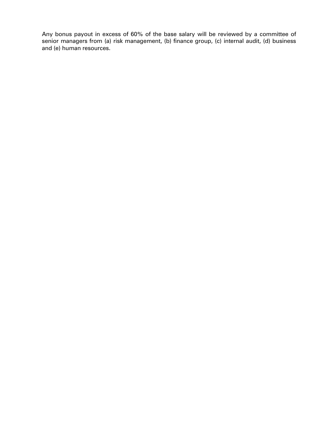Any bonus payout in excess of 60% of the base salary will be reviewed by a committee of senior managers from (a) risk management, (b) finance group, (c) internal audit, (d) business and (e) human resources.